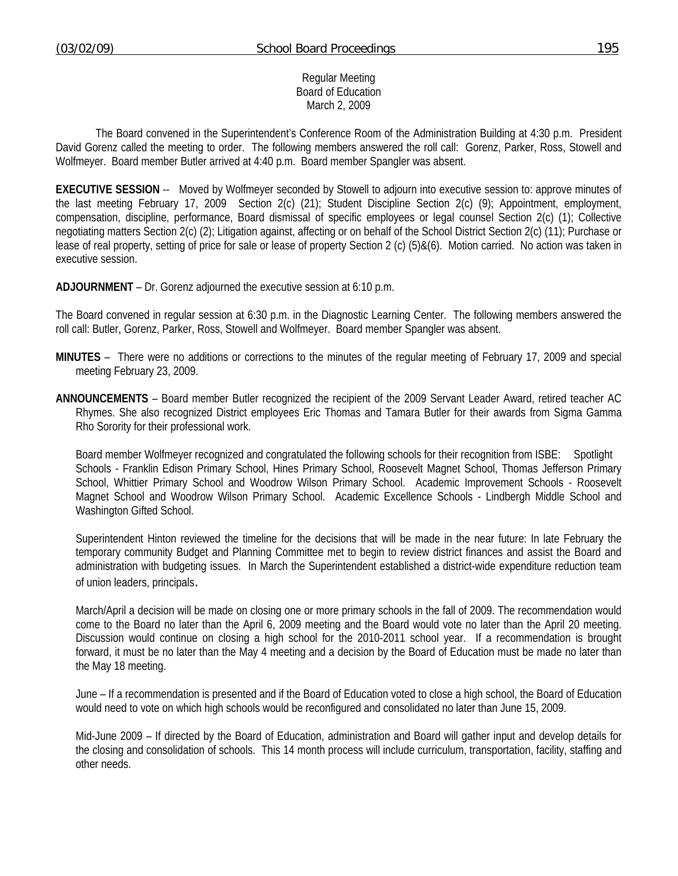#### Regular Meeting Board of Education March 2, 2009

 The Board convened in the Superintendent's Conference Room of the Administration Building at 4:30 p.m. President David Gorenz called the meeting to order. The following members answered the roll call: Gorenz, Parker, Ross, Stowell and Wolfmeyer. Board member Butler arrived at 4:40 p.m. Board member Spangler was absent.

**EXECUTIVE SESSION** -- Moved by Wolfmeyer seconded by Stowell to adjourn into executive session to: approve minutes of the last meeting February 17, 2009 Section 2(c) (21); Student Discipline Section 2(c) (9); Appointment, employment, compensation, discipline, performance, Board dismissal of specific employees or legal counsel Section 2(c) (1); Collective negotiating matters Section 2(c) (2); Litigation against, affecting or on behalf of the School District Section 2(c) (11); Purchase or lease of real property, setting of price for sale or lease of property Section 2 (c) (5)&(6). Motion carried. No action was taken in executive session.

**ADJOURNMENT** – Dr. Gorenz adjourned the executive session at 6:10 p.m.

The Board convened in regular session at 6:30 p.m. in the Diagnostic Learning Center. The following members answered the roll call: Butler, Gorenz, Parker, Ross, Stowell and Wolfmeyer. Board member Spangler was absent.

- **MINUTES** There were no additions or corrections to the minutes of the regular meeting of February 17, 2009 and special meeting February 23, 2009.
- **ANNOUNCEMENTS** Board member Butler recognized the recipient of the 2009 Servant Leader Award, retired teacher AC Rhymes. She also recognized District employees Eric Thomas and Tamara Butler for their awards from Sigma Gamma Rho Sorority for their professional work.

 Board member Wolfmeyer recognized and congratulated the following schools for their recognition from ISBE: Spotlight Schools - Franklin Edison Primary School, Hines Primary School, Roosevelt Magnet School, Thomas Jefferson Primary School, Whittier Primary School and Woodrow Wilson Primary School. Academic Improvement Schools - Roosevelt Magnet School and Woodrow Wilson Primary School. Academic Excellence Schools - Lindbergh Middle School and Washington Gifted School.

Superintendent Hinton reviewed the timeline for the decisions that will be made in the near future: In late February the temporary community Budget and Planning Committee met to begin to review district finances and assist the Board and administration with budgeting issues. In March the Superintendent established a district-wide expenditure reduction team of union leaders, principals.

 March/April a decision will be made on closing one or more primary schools in the fall of 2009. The recommendation would come to the Board no later than the April 6, 2009 meeting and the Board would vote no later than the April 20 meeting. Discussion would continue on closing a high school for the 2010-2011 school year. If a recommendation is brought forward, it must be no later than the May 4 meeting and a decision by the Board of Education must be made no later than the May 18 meeting.

 June – If a recommendation is presented and if the Board of Education voted to close a high school, the Board of Education would need to vote on which high schools would be reconfigured and consolidated no later than June 15, 2009.

 Mid-June 2009 – If directed by the Board of Education, administration and Board will gather input and develop details for the closing and consolidation of schools. This 14 month process will include curriculum, transportation, facility, staffing and other needs.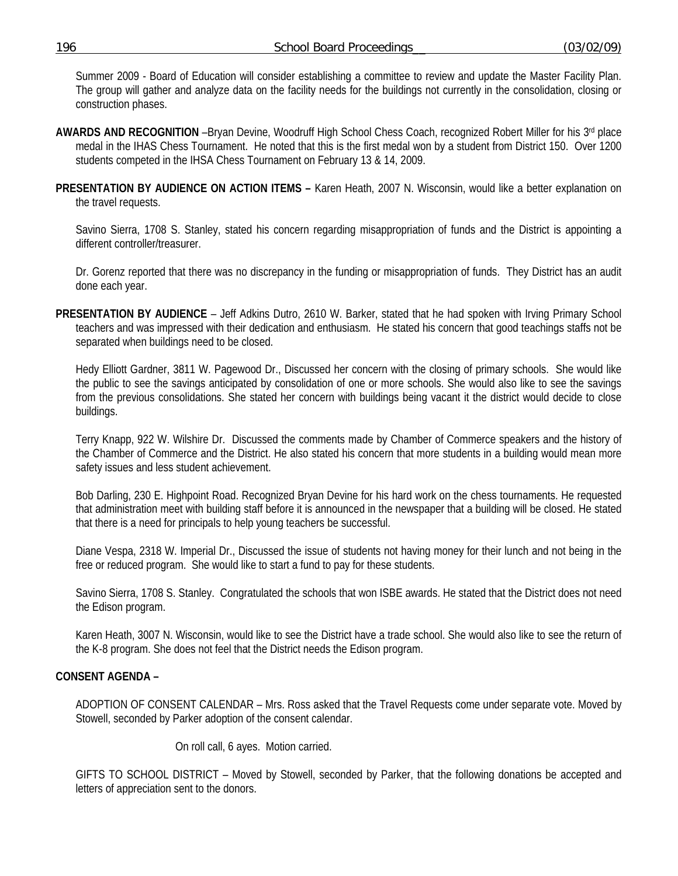Summer 2009 - Board of Education will consider establishing a committee to review and update the Master Facility Plan. The group will gather and analyze data on the facility needs for the buildings not currently in the consolidation, closing or construction phases.

- **AWARDS AND RECOGNITION** –Bryan Devine, Woodruff High School Chess Coach, recognized Robert Miller for his 3rd place medal in the IHAS Chess Tournament. He noted that this is the first medal won by a student from District 150. Over 1200 students competed in the IHSA Chess Tournament on February 13 & 14, 2009.
- **PRESENTATION BY AUDIENCE ON ACTION ITEMS –** Karen Heath, 2007 N. Wisconsin, would like a better explanation on the travel requests.

Savino Sierra, 1708 S. Stanley, stated his concern regarding misappropriation of funds and the District is appointing a different controller/treasurer.

 Dr. Gorenz reported that there was no discrepancy in the funding or misappropriation of funds. They District has an audit done each year.

**PRESENTATION BY AUDIENCE** – Jeff Adkins Dutro, 2610 W. Barker, stated that he had spoken with Irving Primary School teachers and was impressed with their dedication and enthusiasm. He stated his concern that good teachings staffs not be separated when buildings need to be closed.

 Hedy Elliott Gardner, 3811 W. Pagewood Dr., Discussed her concern with the closing of primary schools. She would like the public to see the savings anticipated by consolidation of one or more schools. She would also like to see the savings from the previous consolidations. She stated her concern with buildings being vacant it the district would decide to close buildings.

 Terry Knapp, 922 W. Wilshire Dr. Discussed the comments made by Chamber of Commerce speakers and the history of the Chamber of Commerce and the District. He also stated his concern that more students in a building would mean more safety issues and less student achievement.

 Bob Darling, 230 E. Highpoint Road. Recognized Bryan Devine for his hard work on the chess tournaments. He requested that administration meet with building staff before it is announced in the newspaper that a building will be closed. He stated that there is a need for principals to help young teachers be successful.

 Diane Vespa, 2318 W. Imperial Dr., Discussed the issue of students not having money for their lunch and not being in the free or reduced program. She would like to start a fund to pay for these students.

 Savino Sierra, 1708 S. Stanley. Congratulated the schools that won ISBE awards. He stated that the District does not need the Edison program.

 Karen Heath, 3007 N. Wisconsin, would like to see the District have a trade school. She would also like to see the return of the K-8 program. She does not feel that the District needs the Edison program.

### **CONSENT AGENDA –**

ADOPTION OF CONSENT CALENDAR – Mrs. Ross asked that the Travel Requests come under separate vote. Moved by Stowell, seconded by Parker adoption of the consent calendar.

On roll call, 6 ayes. Motion carried.

GIFTS TO SCHOOL DISTRICT – Moved by Stowell, seconded by Parker, that the following donations be accepted and letters of appreciation sent to the donors.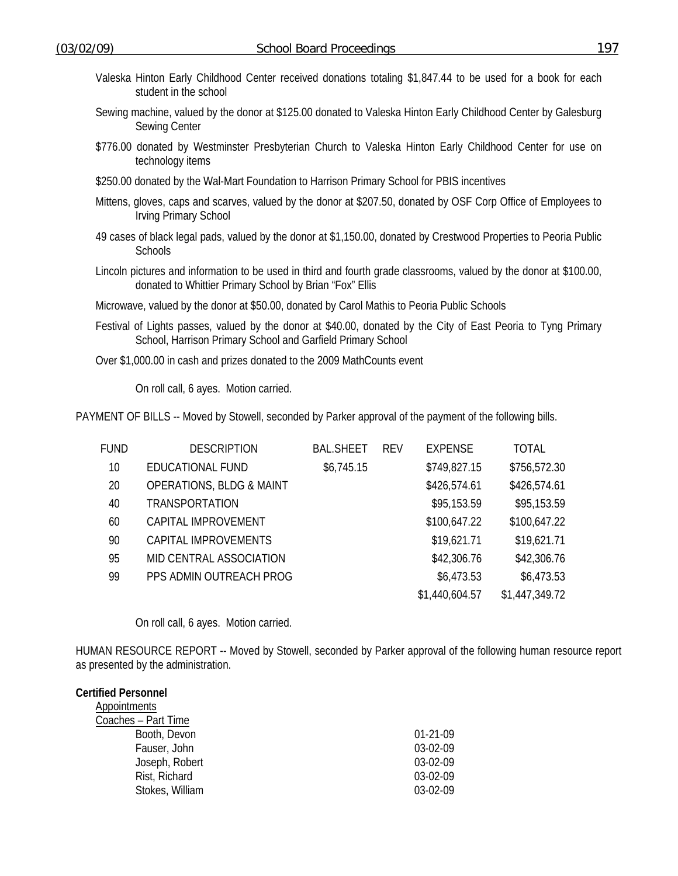- Valeska Hinton Early Childhood Center received donations totaling \$1,847.44 to be used for a book for each student in the school
- Sewing machine, valued by the donor at \$125.00 donated to Valeska Hinton Early Childhood Center by Galesburg Sewing Center
- \$776.00 donated by Westminster Presbyterian Church to Valeska Hinton Early Childhood Center for use on technology items
- \$250.00 donated by the Wal-Mart Foundation to Harrison Primary School for PBIS incentives
- Mittens, gloves, caps and scarves, valued by the donor at \$207.50, donated by OSF Corp Office of Employees to Irving Primary School
- 49 cases of black legal pads, valued by the donor at \$1,150.00, donated by Crestwood Properties to Peoria Public **Schools**
- Lincoln pictures and information to be used in third and fourth grade classrooms, valued by the donor at \$100.00, donated to Whittier Primary School by Brian "Fox" Ellis
- Microwave, valued by the donor at \$50.00, donated by Carol Mathis to Peoria Public Schools
- Festival of Lights passes, valued by the donor at \$40.00, donated by the City of East Peoria to Tyng Primary School, Harrison Primary School and Garfield Primary School
- Over \$1,000.00 in cash and prizes donated to the 2009 MathCounts event

On roll call, 6 ayes. Motion carried.

PAYMENT OF BILLS -- Moved by Stowell, seconded by Parker approval of the payment of the following bills.

| FUND | <b>DESCRIPTION</b>                  | <b>BAL.SHEET</b> | <b>REV</b> | <b>EXPENSE</b> | <b>TOTAL</b>   |
|------|-------------------------------------|------------------|------------|----------------|----------------|
| 10   | EDUCATIONAL FUND                    | \$6,745.15       |            | \$749,827.15   | \$756,572.30   |
| 20   | <b>OPERATIONS, BLDG &amp; MAINT</b> |                  |            | \$426,574.61   | \$426,574.61   |
| 40   | <b>TRANSPORTATION</b>               |                  |            | \$95,153.59    | \$95,153.59    |
| 60   | CAPITAL IMPROVEMENT                 |                  |            | \$100,647.22   | \$100,647.22   |
| 90   | CAPITAL IMPROVEMENTS                |                  |            | \$19,621.71    | \$19,621.71    |
| 95   | MID CENTRAL ASSOCIATION             |                  |            | \$42,306.76    | \$42,306.76    |
| 99   | PPS ADMIN OUTREACH PROG             |                  |            | \$6,473.53     | \$6,473.53     |
|      |                                     |                  |            | \$1,440,604.57 | \$1,447,349.72 |

On roll call, 6 ayes. Motion carried.

HUMAN RESOURCE REPORT -- Moved by Stowell, seconded by Parker approval of the following human resource report as presented by the administration.

# **Certified Personnel**  Appointments Coaches – Part Time Booth, Devon 01-21-09 Fauser, John 03-02-09 Joseph, Robert 03-02-09 Rist, Richard 03-02-09 Stokes, William 03-02-09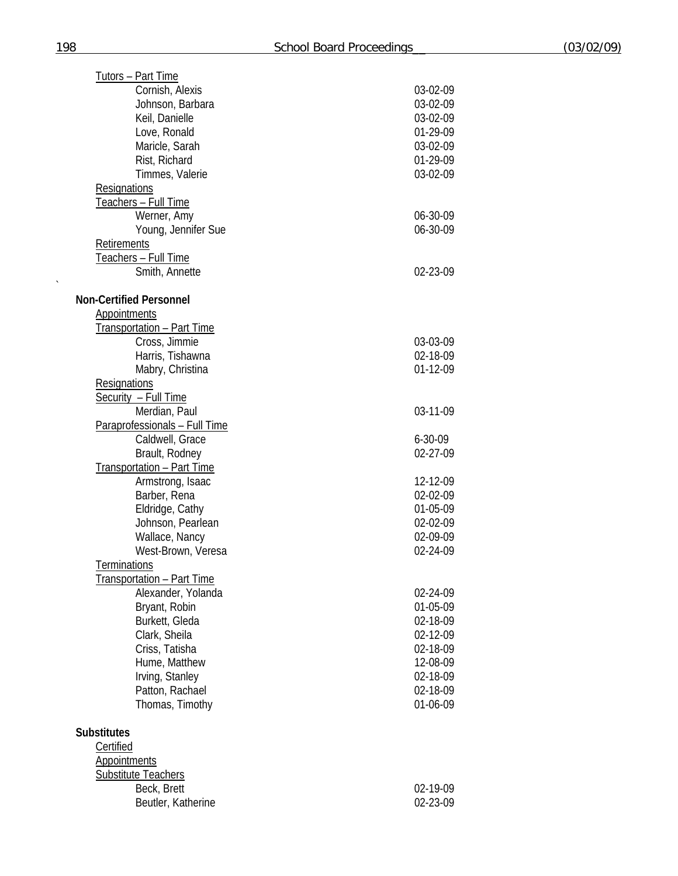| <b>Tutors - Part Time</b>         |               |
|-----------------------------------|---------------|
| Cornish, Alexis                   | 03-02-09      |
| Johnson, Barbara                  | 03-02-09      |
| Keil, Danielle                    | 03-02-09      |
| Love, Ronald                      | 01-29-09      |
| Maricle, Sarah                    | 03-02-09      |
| Rist, Richard                     | 01-29-09      |
|                                   |               |
| Timmes, Valerie                   | 03-02-09      |
| Resignations                      |               |
| Teachers - Full Time              |               |
| Werner, Amy                       | 06-30-09      |
| Young, Jennifer Sue               | 06-30-09      |
| Retirements                       |               |
| Teachers - Full Time              |               |
| Smith, Annette                    | 02-23-09      |
|                                   |               |
| <b>Non-Certified Personnel</b>    |               |
| <b>Appointments</b>               |               |
|                                   |               |
| Transportation - Part Time        |               |
| Cross, Jimmie                     | 03-03-09      |
| Harris, Tishawna                  | 02-18-09      |
| Mabry, Christina                  | 01-12-09      |
| Resignations                      |               |
| Security - Full Time              |               |
| Merdian, Paul                     | 03-11-09      |
| Paraprofessionals - Full Time     |               |
| Caldwell, Grace                   | $6 - 30 - 09$ |
|                                   |               |
| Brault, Rodney                    | 02-27-09      |
| <b>Transportation - Part Time</b> |               |
| Armstrong, Isaac                  | 12-12-09      |
| Barber, Rena                      | 02-02-09      |
| Eldridge, Cathy                   | 01-05-09      |
| Johnson, Pearlean                 | 02-02-09      |
| Wallace, Nancy                    | 02-09-09      |
| West-Brown, Veresa                | 02-24-09      |
| <b>Terminations</b>               |               |
|                                   |               |
| <u>Transportation - Part Time</u> |               |
| Alexander, Yolanda                | 02-24-09      |
| Bryant, Robin                     | 01-05-09      |
| Burkett, Gleda                    | 02-18-09      |
| Clark, Sheila                     | 02-12-09      |
| Criss, Tatisha                    | 02-18-09      |
| Hume, Matthew                     | 12-08-09      |
| Irving, Stanley                   | 02-18-09      |
| Patton, Rachael                   | 02-18-09      |
| Thomas, Timothy                   | 01-06-09      |
|                                   |               |
| <b>Substitutes</b>                |               |
| Certified                         |               |
|                                   |               |
| <b>Appointments</b>               |               |
| <b>Substitute Teachers</b>        |               |
| Beck, Brett                       | 02-19-09      |
| Beutler, Katherine                | 02-23-09      |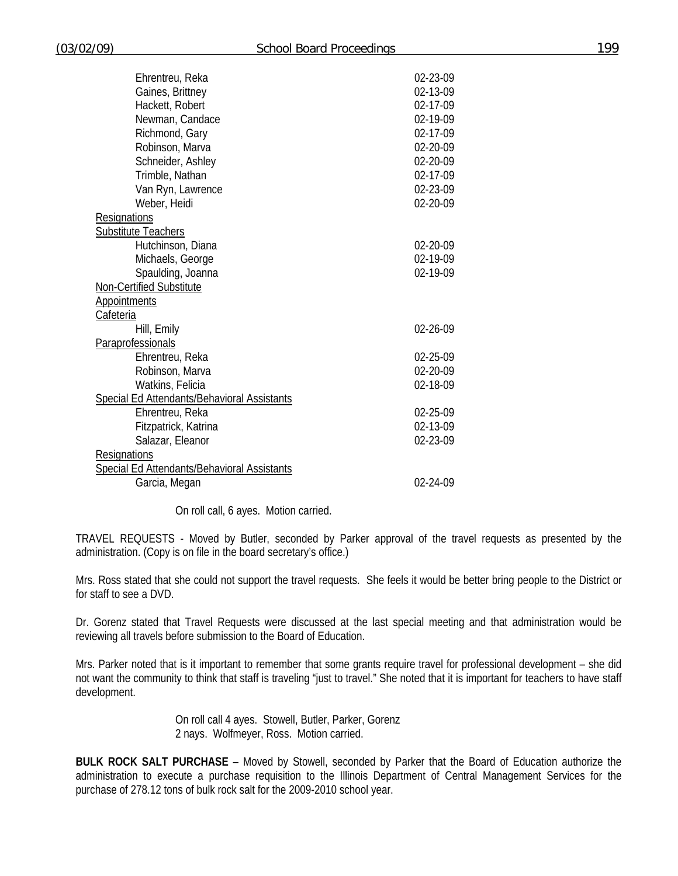| Ehrentreu, Reka                                    | 02-23-09 |  |
|----------------------------------------------------|----------|--|
| Gaines, Brittney                                   | 02-13-09 |  |
| Hackett, Robert                                    | 02-17-09 |  |
| Newman, Candace                                    | 02-19-09 |  |
| Richmond, Gary                                     | 02-17-09 |  |
| Robinson, Marva                                    | 02-20-09 |  |
| Schneider, Ashley                                  | 02-20-09 |  |
| Trimble, Nathan                                    | 02-17-09 |  |
| Van Ryn, Lawrence                                  | 02-23-09 |  |
| Weber, Heidi                                       | 02-20-09 |  |
| <b>Resignations</b>                                |          |  |
| <b>Substitute Teachers</b>                         |          |  |
| Hutchinson, Diana                                  | 02-20-09 |  |
| Michaels, George                                   | 02-19-09 |  |
| Spaulding, Joanna                                  | 02-19-09 |  |
| Non-Certified Substitute                           |          |  |
| Appointments                                       |          |  |
| <b>Cafeteria</b>                                   |          |  |
| Hill, Emily                                        | 02-26-09 |  |
| Paraprofessionals                                  |          |  |
| Ehrentreu, Reka                                    | 02-25-09 |  |
| Robinson, Marva                                    | 02-20-09 |  |
| Watkins, Felicia                                   | 02-18-09 |  |
| Special Ed Attendants/Behavioral Assistants        |          |  |
| Ehrentreu, Reka                                    | 02-25-09 |  |
| Fitzpatrick, Katrina                               | 02-13-09 |  |
| Salazar, Eleanor                                   | 02-23-09 |  |
| Resignations                                       |          |  |
| <b>Special Ed Attendants/Behavioral Assistants</b> |          |  |
| Garcia, Megan                                      | 02-24-09 |  |
|                                                    |          |  |

On roll call, 6 ayes. Motion carried.

TRAVEL REQUESTS - Moved by Butler, seconded by Parker approval of the travel requests as presented by the administration. (Copy is on file in the board secretary's office.)

Mrs. Ross stated that she could not support the travel requests. She feels it would be better bring people to the District or for staff to see a DVD.

Dr. Gorenz stated that Travel Requests were discussed at the last special meeting and that administration would be reviewing all travels before submission to the Board of Education.

Mrs. Parker noted that is it important to remember that some grants require travel for professional development – she did not want the community to think that staff is traveling "just to travel." She noted that it is important for teachers to have staff development.

> On roll call 4 ayes. Stowell, Butler, Parker, Gorenz 2 nays. Wolfmeyer, Ross. Motion carried.

**BULK ROCK SALT PURCHASE** – Moved by Stowell, seconded by Parker that the Board of Education authorize the administration to execute a purchase requisition to the Illinois Department of Central Management Services for the purchase of 278.12 tons of bulk rock salt for the 2009-2010 school year.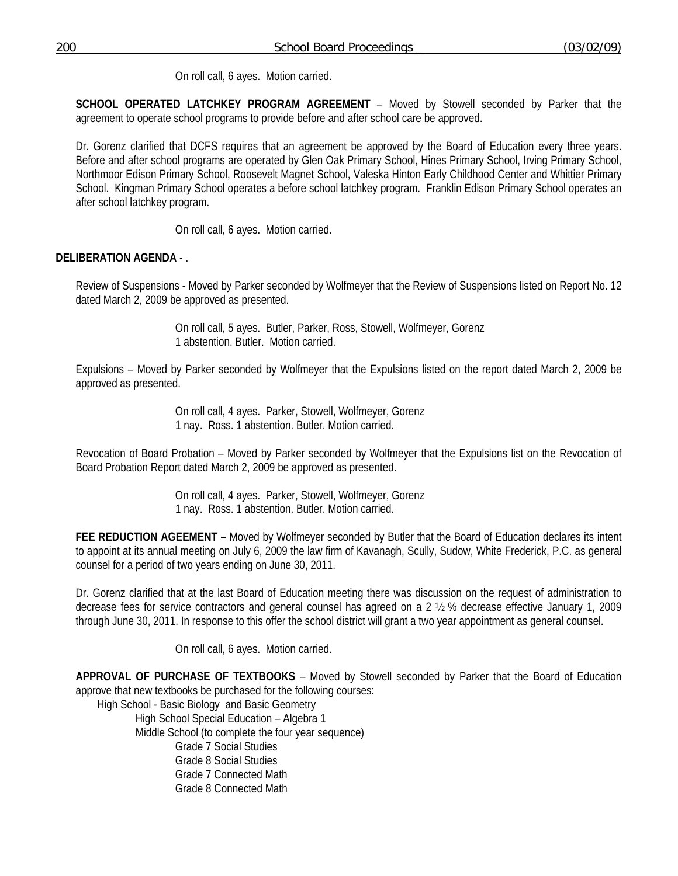On roll call, 6 ayes. Motion carried.

**SCHOOL OPERATED LATCHKEY PROGRAM AGREEMENT** – Moved by Stowell seconded by Parker that the agreement to operate school programs to provide before and after school care be approved.

Dr. Gorenz clarified that DCFS requires that an agreement be approved by the Board of Education every three years. Before and after school programs are operated by Glen Oak Primary School, Hines Primary School, Irving Primary School, Northmoor Edison Primary School, Roosevelt Magnet School, Valeska Hinton Early Childhood Center and Whittier Primary School. Kingman Primary School operates a before school latchkey program. Franklin Edison Primary School operates an after school latchkey program.

On roll call, 6 ayes. Motion carried.

## **DELIBERATION AGENDA** - .

Review of Suspensions - Moved by Parker seconded by Wolfmeyer that the Review of Suspensions listed on Report No. 12 dated March 2, 2009 be approved as presented.

> On roll call, 5 ayes. Butler, Parker, Ross, Stowell, Wolfmeyer, Gorenz 1 abstention. Butler. Motion carried.

Expulsions – Moved by Parker seconded by Wolfmeyer that the Expulsions listed on the report dated March 2, 2009 be approved as presented.

> On roll call, 4 ayes. Parker, Stowell, Wolfmeyer, Gorenz 1 nay. Ross. 1 abstention. Butler. Motion carried.

Revocation of Board Probation – Moved by Parker seconded by Wolfmeyer that the Expulsions list on the Revocation of Board Probation Report dated March 2, 2009 be approved as presented.

> On roll call, 4 ayes. Parker, Stowell, Wolfmeyer, Gorenz 1 nay. Ross. 1 abstention. Butler. Motion carried.

**FEE REDUCTION AGEEMENT –** Moved by Wolfmeyer seconded by Butler that the Board of Education declares its intent to appoint at its annual meeting on July 6, 2009 the law firm of Kavanagh, Scully, Sudow, White Frederick, P.C. as general counsel for a period of two years ending on June 30, 2011.

Dr. Gorenz clarified that at the last Board of Education meeting there was discussion on the request of administration to decrease fees for service contractors and general counsel has agreed on a 2 ½ % decrease effective January 1, 2009 through June 30, 2011. In response to this offer the school district will grant a two year appointment as general counsel.

On roll call, 6 ayes. Motion carried.

**APPROVAL OF PURCHASE OF TEXTBOOKS** – Moved by Stowell seconded by Parker that the Board of Education approve that new textbooks be purchased for the following courses:

High School - Basic Biology and Basic Geometry High School Special Education – Algebra 1 Middle School (to complete the four year sequence) Grade 7 Social Studies Grade 8 Social Studies Grade 7 Connected Math Grade 8 Connected Math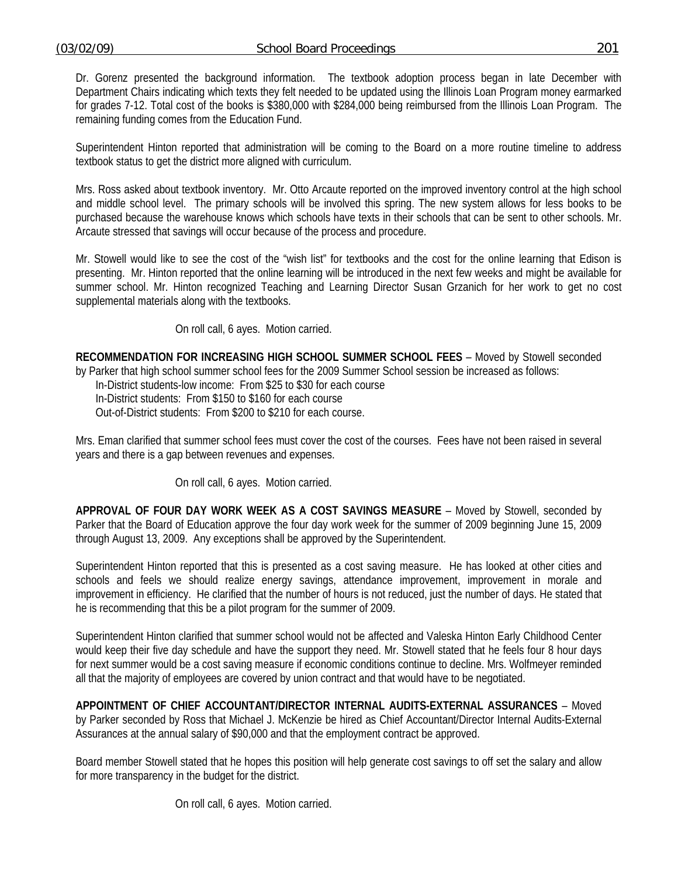Dr. Gorenz presented the background information. The textbook adoption process began in late December with Department Chairs indicating which texts they felt needed to be updated using the Illinois Loan Program money earmarked for grades 7-12. Total cost of the books is \$380,000 with \$284,000 being reimbursed from the Illinois Loan Program. The remaining funding comes from the Education Fund.

Superintendent Hinton reported that administration will be coming to the Board on a more routine timeline to address textbook status to get the district more aligned with curriculum.

Mrs. Ross asked about textbook inventory. Mr. Otto Arcaute reported on the improved inventory control at the high school and middle school level. The primary schools will be involved this spring. The new system allows for less books to be purchased because the warehouse knows which schools have texts in their schools that can be sent to other schools. Mr. Arcaute stressed that savings will occur because of the process and procedure.

Mr. Stowell would like to see the cost of the "wish list" for textbooks and the cost for the online learning that Edison is presenting. Mr. Hinton reported that the online learning will be introduced in the next few weeks and might be available for summer school. Mr. Hinton recognized Teaching and Learning Director Susan Grzanich for her work to get no cost supplemental materials along with the textbooks.

On roll call, 6 ayes. Motion carried.

**RECOMMENDATION FOR INCREASING HIGH SCHOOL SUMMER SCHOOL FEES** – Moved by Stowell seconded by Parker that high school summer school fees for the 2009 Summer School session be increased as follows:

In-District students-low income: From \$25 to \$30 for each course In-District students: From \$150 to \$160 for each course Out-of-District students: From \$200 to \$210 for each course.

Mrs. Eman clarified that summer school fees must cover the cost of the courses. Fees have not been raised in several years and there is a gap between revenues and expenses.

On roll call, 6 ayes. Motion carried.

**APPROVAL OF FOUR DAY WORK WEEK AS A COST SAVINGS MEASURE** – Moved by Stowell, seconded by Parker that the Board of Education approve the four day work week for the summer of 2009 beginning June 15, 2009 through August 13, 2009. Any exceptions shall be approved by the Superintendent.

Superintendent Hinton reported that this is presented as a cost saving measure. He has looked at other cities and schools and feels we should realize energy savings, attendance improvement, improvement in morale and improvement in efficiency. He clarified that the number of hours is not reduced, just the number of days. He stated that he is recommending that this be a pilot program for the summer of 2009.

Superintendent Hinton clarified that summer school would not be affected and Valeska Hinton Early Childhood Center would keep their five day schedule and have the support they need. Mr. Stowell stated that he feels four 8 hour days for next summer would be a cost saving measure if economic conditions continue to decline. Mrs. Wolfmeyer reminded all that the majority of employees are covered by union contract and that would have to be negotiated.

**APPOINTMENT OF CHIEF ACCOUNTANT/DIRECTOR INTERNAL AUDITS-EXTERNAL ASSURANCES** – Moved by Parker seconded by Ross that Michael J. McKenzie be hired as Chief Accountant/Director Internal Audits-External Assurances at the annual salary of \$90,000 and that the employment contract be approved.

Board member Stowell stated that he hopes this position will help generate cost savings to off set the salary and allow for more transparency in the budget for the district.

On roll call, 6 ayes. Motion carried.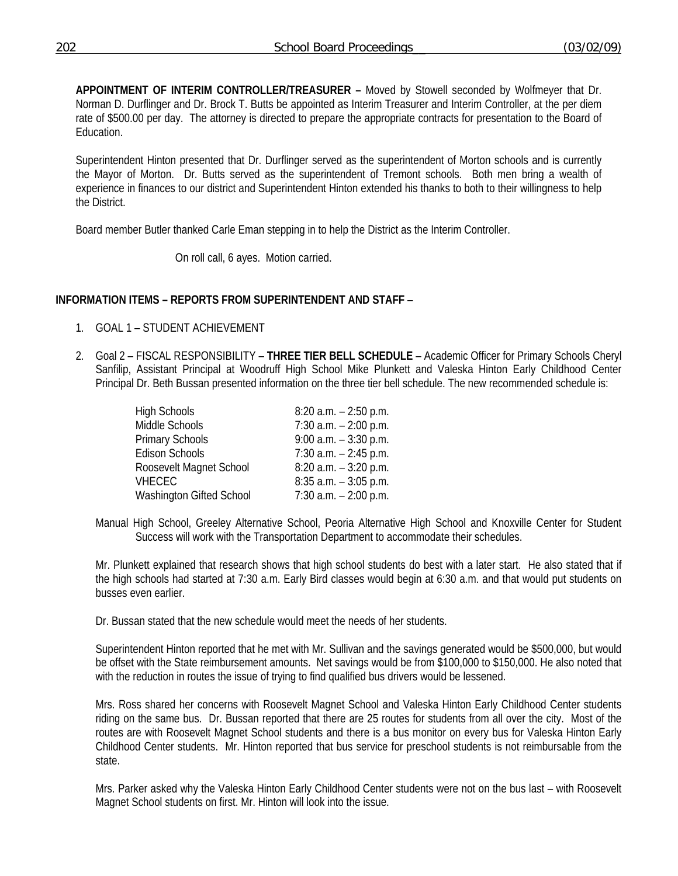**APPOINTMENT OF INTERIM CONTROLLER/TREASURER –** Moved by Stowell seconded by Wolfmeyer that Dr. Norman D. Durflinger and Dr. Brock T. Butts be appointed as Interim Treasurer and Interim Controller, at the per diem rate of \$500.00 per day. The attorney is directed to prepare the appropriate contracts for presentation to the Board of Education.

Superintendent Hinton presented that Dr. Durflinger served as the superintendent of Morton schools and is currently the Mayor of Morton. Dr. Butts served as the superintendent of Tremont schools. Both men bring a wealth of experience in finances to our district and Superintendent Hinton extended his thanks to both to their willingness to help the District.

Board member Butler thanked Carle Eman stepping in to help the District as the Interim Controller.

On roll call, 6 ayes. Motion carried.

### **INFORMATION ITEMS – REPORTS FROM SUPERINTENDENT AND STAFF** –

- 1. GOAL 1 STUDENT ACHIEVEMENT
- 2. Goal 2 FISCAL RESPONSIBILITY **THREE TIER BELL SCHEDULE** Academic Officer for Primary Schools Cheryl Sanfilip, Assistant Principal at Woodruff High School Mike Plunkett and Valeska Hinton Early Childhood Center Principal Dr. Beth Bussan presented information on the three tier bell schedule. The new recommended schedule is:

| <b>High Schools</b>      | $8:20$ a.m. $-2:50$ p.m. |
|--------------------------|--------------------------|
| Middle Schools           | $7:30$ a.m. $-2:00$ p.m. |
| Primary Schools          | $9:00$ a.m. $-3:30$ p.m. |
| <b>Edison Schools</b>    | $7:30$ a.m. $-2:45$ p.m. |
| Roosevelt Magnet School  | $8:20$ a.m. $-3:20$ p.m. |
| <b>VHECEC</b>            | $8:35$ a.m. $-3:05$ p.m. |
| Washington Gifted School | $7:30$ a.m. $-2:00$ p.m. |

Manual High School, Greeley Alternative School, Peoria Alternative High School and Knoxville Center for Student Success will work with the Transportation Department to accommodate their schedules.

Mr. Plunkett explained that research shows that high school students do best with a later start. He also stated that if the high schools had started at 7:30 a.m. Early Bird classes would begin at 6:30 a.m. and that would put students on busses even earlier.

Dr. Bussan stated that the new schedule would meet the needs of her students.

Superintendent Hinton reported that he met with Mr. Sullivan and the savings generated would be \$500,000, but would be offset with the State reimbursement amounts. Net savings would be from \$100,000 to \$150,000. He also noted that with the reduction in routes the issue of trying to find qualified bus drivers would be lessened.

Mrs. Ross shared her concerns with Roosevelt Magnet School and Valeska Hinton Early Childhood Center students riding on the same bus. Dr. Bussan reported that there are 25 routes for students from all over the city. Most of the routes are with Roosevelt Magnet School students and there is a bus monitor on every bus for Valeska Hinton Early Childhood Center students. Mr. Hinton reported that bus service for preschool students is not reimbursable from the state.

Mrs. Parker asked why the Valeska Hinton Early Childhood Center students were not on the bus last – with Roosevelt Magnet School students on first. Mr. Hinton will look into the issue.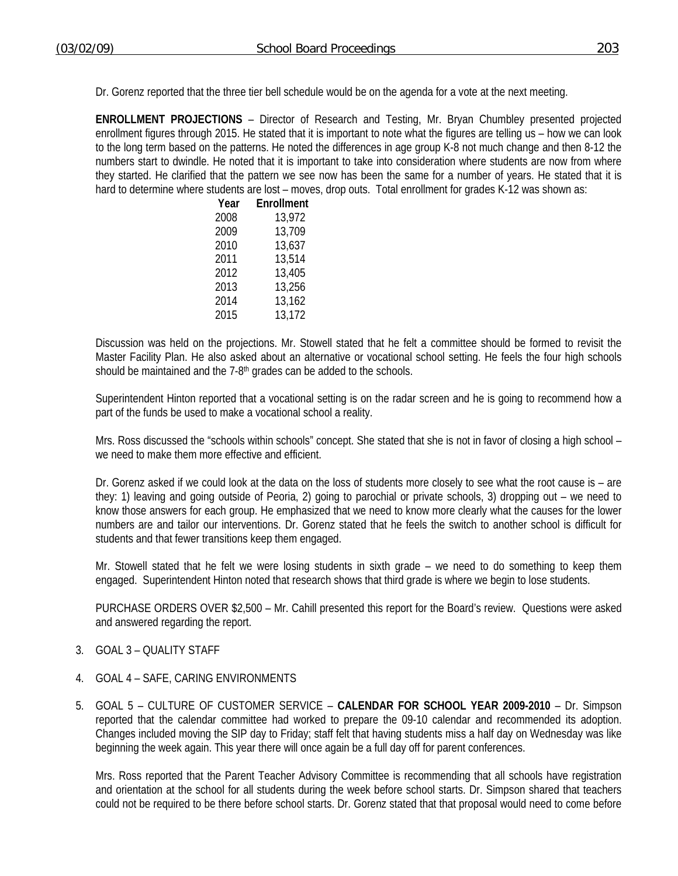Dr. Gorenz reported that the three tier bell schedule would be on the agenda for a vote at the next meeting.

**ENROLLMENT PROJECTIONS** – Director of Research and Testing, Mr. Bryan Chumbley presented projected enrollment figures through 2015. He stated that it is important to note what the figures are telling us – how we can look to the long term based on the patterns. He noted the differences in age group K-8 not much change and then 8-12 the numbers start to dwindle. He noted that it is important to take into consideration where students are now from where they started. He clarified that the pattern we see now has been the same for a number of years. He stated that it is hard to determine where students are lost – moves, drop outs. Total enrollment for grades K-12 was shown as:

| Year | Enrollment |
|------|------------|
| 2008 | 13,972     |
| 2009 | 13,709     |
| 2010 | 13,637     |
| 2011 | 13,514     |
| 2012 | 13,405     |
| 2013 | 13,256     |
| 2014 | 13,162     |
| 2015 | 13,172     |

Discussion was held on the projections. Mr. Stowell stated that he felt a committee should be formed to revisit the Master Facility Plan. He also asked about an alternative or vocational school setting. He feels the four high schools should be maintained and the 7-8<sup>th</sup> grades can be added to the schools.

Superintendent Hinton reported that a vocational setting is on the radar screen and he is going to recommend how a part of the funds be used to make a vocational school a reality.

Mrs. Ross discussed the "schools within schools" concept. She stated that she is not in favor of closing a high school – we need to make them more effective and efficient.

Dr. Gorenz asked if we could look at the data on the loss of students more closely to see what the root cause is – are they: 1) leaving and going outside of Peoria, 2) going to parochial or private schools, 3) dropping out – we need to know those answers for each group. He emphasized that we need to know more clearly what the causes for the lower numbers are and tailor our interventions. Dr. Gorenz stated that he feels the switch to another school is difficult for students and that fewer transitions keep them engaged.

Mr. Stowell stated that he felt we were losing students in sixth grade – we need to do something to keep them engaged. Superintendent Hinton noted that research shows that third grade is where we begin to lose students.

 PURCHASE ORDERS OVER \$2,500 – Mr. Cahill presented this report for the Board's review. Questions were asked and answered regarding the report.

- 3. GOAL 3 QUALITY STAFF
- 4. GOAL 4 SAFE, CARING ENVIRONMENTS
- 5. GOAL 5 CULTURE OF CUSTOMER SERVICE **CALENDAR FOR SCHOOL YEAR 2009-2010** Dr. Simpson reported that the calendar committee had worked to prepare the 09-10 calendar and recommended its adoption. Changes included moving the SIP day to Friday; staff felt that having students miss a half day on Wednesday was like beginning the week again. This year there will once again be a full day off for parent conferences.

Mrs. Ross reported that the Parent Teacher Advisory Committee is recommending that all schools have registration and orientation at the school for all students during the week before school starts. Dr. Simpson shared that teachers could not be required to be there before school starts. Dr. Gorenz stated that that proposal would need to come before